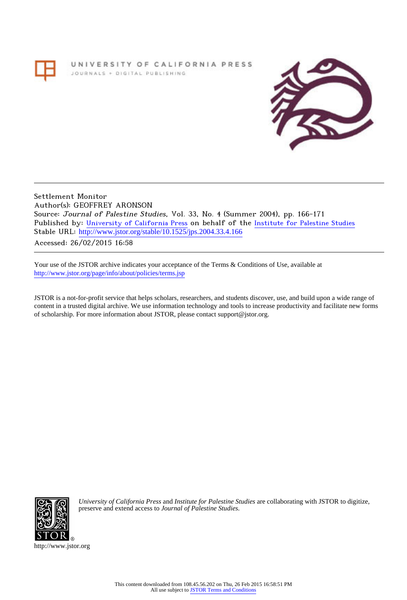## UNIVERSITY OF CALIFORNIA PRESS JOURNALS + DIGITAL PUBLISHING



Settlement Monitor Author(s): GEOFFREY ARONSON Source: Journal of Palestine Studies, Vol. 33, No. 4 (Summer 2004), pp. 166-171 Published by: [University of California Press](http://www.jstor.org/action/showPublisher?publisherCode=ucal) on behalf of the [Institute for Palestine Studies](http://www.jstor.org/action/showPublisher?publisherCode=palstud) Stable URL: [http://www.jstor.org/stable/10.1525/jps.2004.33.4.166](http://www.jstor.org/stable/10.1525/jps.2004.33.4.166?origin=JSTOR-pdf) .

Accessed: 26/02/2015 16:58

Your use of the JSTOR archive indicates your acceptance of the Terms & Conditions of Use, available at <http://www.jstor.org/page/info/about/policies/terms.jsp>

JSTOR is a not-for-profit service that helps scholars, researchers, and students discover, use, and build upon a wide range of content in a trusted digital archive. We use information technology and tools to increase productivity and facilitate new forms of scholarship. For more information about JSTOR, please contact support@jstor.org.



*University of California Press* and *Institute for Palestine Studies* are collaborating with JSTOR to digitize, preserve and extend access to *Journal of Palestine Studies.*

http://www.jstor.org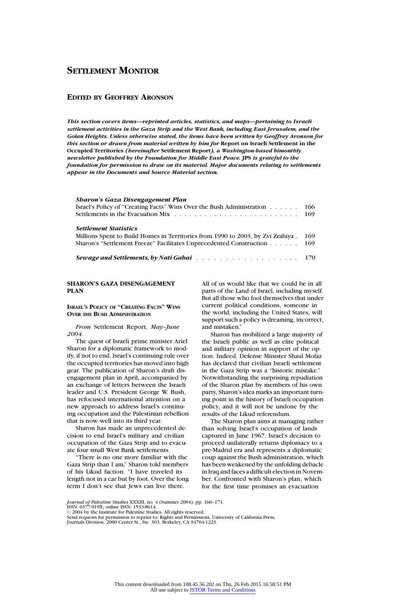# **SETTLEMENT MONITOR**

## **EDITED BY GEOFFREY ARONSON**

*This section covers items—reprinted articles, statistics, and maps—pertaining to Israeli settlement activities in the Gaza Strip and the West Bank, including East Jerusalem, and the Golan Heights. Unless otherwise stated, the items have been written by Geoffrey Aronson for this section or drawn from material written by him for* **Report on Israeli Settlement in the Occupied Territories** *(hereinafter* **Settlement Report***), a Washington-based bimonthly newsletter published by the Foundation for Middle East Peace.* **JPS** *is grateful to the foundation for permission to draw on its material. Major documents relating to settlements appear in the Documents and Source Material section.*

## *Sharon's Gaza Disengagement Plan*

| Israel's Policy of "Creating Facts" Wins Over the Bush Administration 166<br><b>Settlement Statistics</b><br>Millions Spent to Build Homes in Territories from 1990 to 2003, by Zvi Zrahiya . 169<br>Sharon's "Settlement Freeze" Facilitates Unprecedented Construction 169 |  |
|------------------------------------------------------------------------------------------------------------------------------------------------------------------------------------------------------------------------------------------------------------------------------|--|
|                                                                                                                                                                                                                                                                              |  |
|                                                                                                                                                                                                                                                                              |  |

#### **SHARON'S GAZA DISENGAGEMENT PLAN**

**ISRAEL'S POLICY OF "CREATING FACTS" WINS OVER THE BUSH ADMINISTRATION**

*From* Settlement Report, *May–June 2004.*

The quest of Israeli prime minister Ariel Sharon for a diplomatic framework to modify, if not to end, Israel's continuing rule over the occupied territories has moved into high gear. The publication of Sharon's draft disengagement plan in April, accompanied by an exchange of letters between the Israeli leader and U.S. President George W. Bush, has refocused international attention on a new approach to address Israel's continuing occupation and the Palestinian rebellion that is now well into its third year.

Sharon has made an unprecedented decision to end Israel's military and civilian occupation of the Gaza Strip and to evacuate four small West Bank settlements.

"There is no one more familiar with the Gaza Strip than I am," Sharon told members of his Likud faction. "I have traveled its length not in a car but by foot. Over the long term I don't see that Jews can live there.

All of us would like that we could be in all parts of the Land of Israel, including myself. But all those who fool themselves that under current political conditions, someone in the world, including the United States, will support such a policy is dreaming, incorrect, and mistaken."

Sharon has mobilized a large majority of the Israeli public as well as elite political and military opinion in support of the option. Indeed, Defense Minister Shaul Mofaz has declared that civilian Israeli settlement in the Gaza Strip was a "historic mistake." Notwithstanding the surprising repudiation of the Sharon plan by members of his own party, Sharon's idea marks an important turning point in the history of Israeli occupation policy, and it will not be undone by the results of the Likud referendum.

The Sharon plan aims at managing rather than solving Israel's occupation of lands captured in June 1967. Israel's decision to proceed unilaterally returns diplomacy to a pre-Madrid era and represents a diplomatic coup against the Bush administration, which has been weakened by the unfolding debacle in Iraq and faces a difficult election in November. Confronted with Sharon's plan, which for the first time promises an evacuation

*Journal of Palestine Studies* XXXIII, no. 4 (Summer 2004), pp. 166–171. ISSN: 0377-919X; online ISSN: 1533-8614.

C 2004 by the Institute for Palestine Studies. All rights reserved.

Send requests for permission to reprint to: Rights and Permissions, University of California Press, Journals Division, 2000 Center St., Ste. 303, Berkeley, CA 94704-1223.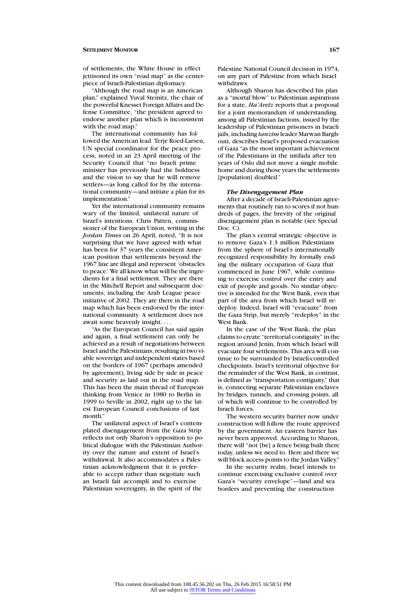#### **SETTLEMENT MONITOR 167**

of settlements, the White House in effect jettisoned its own "road map" as the centerpiece of Israeli-Palestinian diplomacy.

"Although the road map is an American plan," explained Yuval Steinitz, the chair of the powerful Knesset Foreign Affairs and Defense Committee, "the president agreed to endorse another plan which is inconsistent with the road map."

The international community has followed the American lead. Terje Roed-Larsen, UN special coordinator for the peace process, noted in an 23 April meeting of the Security Council that "no Israeli prime minister has previously had the boldness and the vision to say that he will remove settlers—as long called for by the international community—and initiate a plan for its implementation."

Yet the international community remains wary of the limited, unilateral nature of Israel's intentions. Chris Patten, commissioner of the European Union, writing in the *Jordan Times* on 26 April, noted, "It is not surprising that we have agreed with what has been for 37 years the consistent American position that settlements beyond the 1967 line are illegal and represent 'obstacles to peace.' We all know what will be the ingredients for a final settlement. They are there in the Mitchell Report and subsequent documents, including the Arab League peace initiative of 2002. They are there in the road map which has been endorsed by the international community. A settlement does not await some heavenly insight....

"As the European Council has said again and again, a final settlement can only be achieved as a result of negotiations between Israel and the Palestinians, resulting in two viable sovereign and independent states based on the borders of 1967 (perhaps amended by agreement), living side by side in peace and security as laid out in the road map. This has been the main thread of European thinking from Venice in 1980 to Berlin in 1999 to Seville in 2002, right up to the latest European Council conclusions of last month<sup>"</sup>

The unilateral aspect of Israel's contemplated disengagement from the Gaza Strip reflects not only Sharon's opposition to political dialogue with the Palestinian Authority over the nature and extent of Israel's withdrawal. It also accommodates a Palestinian acknowledgment that it is preferable to accept rather than negotiate such an Israeli fait accompli and to exercise Palestinian sovereignty, in the spirit of the

Palestine National Council decision in 1974, on any part of Palestine from which Israel withdraws.

Although Sharon has described his plan as a "mortal blow" to Palestinian aspirations for a state, *Ha'Aretz* reports that a proposal for a joint memorandum of understanding among all Palestinian factions, issued by the leadership of Palestinian prisoners in Israeli jails, including *tanzim* leader Marwan Barghouti, describes Israel's proposed evacuation of Gaza "as the most important achievement of the Palestinians in the intifada after ten years of Oslo did not move a single mobile home and during those years the settlements [population] doubled."

#### *The Disengagement Plan*

After a decade of Israeli-Palestinian agreements that routinely ran to scores if not hundreds of pages, the brevity of the original disengagement plan is notable (see Special Doc. C).

The plan's central strategic objective is to remove Gaza's 1.3 million Palestinians from the sphere of Israel's internationally recognized responsibility by formally ending the military occupation of Gaza that commenced in June 1967, while continuing to exercise control over the entry and exit of people and goods. No similar objective is intended for the West Bank, even that part of the area from which Israel will redeploy. Indeed, Israel will "evacuate" from the Gaza Strip, but merely "redeploy" in the West Bank.

In the case of the West Bank, the plan claims to create "territorial contiguity" in the region around Jenin, from which Israel will evacuate four settlements. This area will continue to be surrounded by Israeli-controlled checkpoints. Israel's territorial objective for the remainder of the West Bank, in contrast, is defined as "transportation contiguity," that is, connecting separate Palestinian enclaves by bridges, tunnels, and crossing points, all of which will continue to be controlled by Israeli forces.

The western security barrier now under construction will follow the route approved by the government. An eastern barrier has never been approved. According to Sharon, there will "not [be] a fence being built there today, unless we need to. Here and there we will block access points to the Jordan Valley."

In the security realm, Israel intends to continue exercising exclusive control over Gaza's "security envelope"—land and sea borders and preventing the construction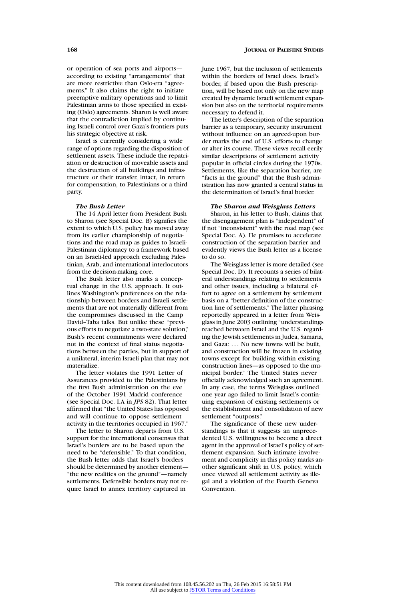or operation of sea ports and airports according to existing "arrangements" that are more restrictive than Oslo-era "agreements." It also claims the right to initiate preemptive military operations and to limit Palestinian arms to those specified in existing (Oslo) agreements. Sharon is well aware that the contradiction implied by continuing Israeli control over Gaza's frontiers puts his strategic objective at risk.

Israel is currently considering a wide range of options regarding the disposition of settlement assets. These include the repatriation or destruction of moveable assets and the destruction of all buildings and infrastructure or their transfer, intact, in return for compensation, to Palestinians or a third party.

#### *The Bush Letter*

The 14 April letter from President Bush to Sharon (see Special Doc. B) signifies the extent to which U.S. policy has moved away from its earlier championship of negotiations and the road map as guides to Israeli-Palestinian diplomacy to a framework based on an Israeli-led approach excluding Palestinian, Arab, and international interlocutors from the decision-making core.

The Bush letter also marks a conceptual change in the U.S. approach. It outlines Washington's preferences on the relationship between borders and Israeli settlements that are not materially different from the compromises discussed in the Camp David–Taba talks. But unlike these "previous efforts to negotiate a two-state solution," Bush's recent commitments were declared not in the context of final status negotiations between the parties, but in support of a unilateral, interim Israeli plan that may not materialize.

The letter violates the 1991 Letter of Assurances provided to the Palestinians by the first Bush administration on the eve of the October 1991 Madrid conference (see Special Doc. I.A in *JPS* 82). That letter affirmed that "the United States has opposed and will continue to oppose settlement activity in the territories occupied in 1967.

The letter to Sharon departs from U.S. support for the international consensus that Israel's borders are to be based upon the need to be "defensible." To that condition, the Bush letter adds that Israel's borders should be determined by another element— "the new realities on the ground"—namely settlements. Defensible borders may not require Israel to annex territory captured in

June 1967, but the inclusion of settlements within the borders of Israel does. Israel's border, if based upon the Bush prescription, will be based not only on the new map created by dynamic Israeli settlement expansion but also on the territorial requirements necessary to defend it.

The letter's description of the separation barrier as a temporary, security instrument without influence on an agreed-upon border marks the end of U.S. efforts to change or alter its course. These views recall eerily similar descriptions of settlement activity popular in official circles during the 1970s. Settlements, like the separation barrier, are "facts in the ground" that the Bush administration has now granted a central status in the determination of Israel's final border.

## *The Sharon and Weisglass Letters*

Sharon, in his letter to Bush, claims that the disengagement plan is "independent" of if not "inconsistent" with the road map (see Special Doc. A). He promises to accelerate construction of the separation barrier and evidently views the Bush letter as a license to do so.

The Weisglass letter is more detailed (see Special Doc. D). It recounts a series of bilateral understandings relating to settlements and other issues, including a bilateral effort to agree on a settlement by settlement basis on a "better definition of the construction line of settlements." The latter phrasing reportedly appeared in a letter from Weisglass in June 2003 outlining "understandings reached between Israel and the U.S. regarding the Jewish settlements in Judea, Samaria, and Gaza: ... No new towns will be built, and construction will be frozen in existing towns except for building within existing construction lines—as opposed to the municipal border." The United States never officially acknowledged such an agreement. In any case, the terms Weisglass outlined one year ago failed to limit Israel's continuing expansion of existing settlements or the establishment and consolidation of new settlement "outposts."

The significance of these new understandings is that it suggests an unprecedented U.S. willingness to become a direct agent in the approval of Israel's policy of settlement expansion. Such intimate involvement and complicity in this policy marks another significant shift in U.S. policy, which once viewed all settlement activity as illegal and a violation of the Fourth Geneva Convention.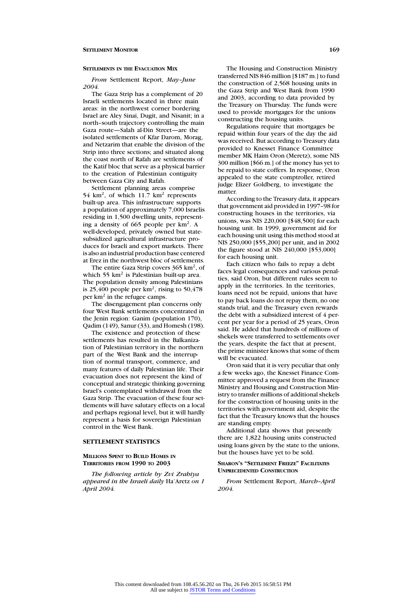## **SETTLEMENTS IN THE EVACUATION MIX**

*From* Settlement Report, *May–June 2004.*

The Gaza Strip has a complement of 20 Israeli settlements located in three main areas: in the northwest corner bordering Israel are Aley Sinai, Dugit, and Nisanit; in a north–south trajectory controlling the main Gaza route—Salah al-Din Street—are the isolated settlements of Kfar Darom, Morag, and Netzarim that enable the division of the Strip into three sections; and situated along the coast north of Rafah are settlements of the Katif bloc that serve as a physical barrier to the creation of Palestinian contiguity between Gaza City and Rafah.

Settlement planning areas comprise 54 km<sup>2</sup>, of which 11.7 km<sup>2</sup> represents built-up area. This infrastructure supports a population of approximately 7,000 Israelis residing in 1,500 dwelling units, representing a density of 665 people per km2. A well-developed, privately owned but statesubsidized agricultural infrastructure produces for Israeli and export markets. There is also an industrial production base centered at Erez in the northwest bloc of settlements.

The entire Gaza Strip covers  $365 \text{ km}^2$ , of which 55 km<sup>2</sup> is Palestinian built-up area. The population density among Palestinians is 25,400 people per  $km^2$ , rising to 50,478 per km<sup>2</sup> in the refugee camps.

The disengagement plan concerns only four West Bank settlements concentrated in the Jenin region: Ganim (population 170), Qadim (149), Sanur (33), and Homesh (198).

The existence and protection of these settlements has resulted in the Balkanization of Palestinian territory in the northern part of the West Bank and the interruption of normal transport, commerce, and many features of daily Palestinian life. Their evacuation does not represent the kind of conceptual and strategic thinking governing Israel's contemplated withdrawal from the Gaza Strip. The evacuation of these four settlements will have salutary effects on a local and perhaps regional level, but it will hardly represent a basis for sovereign Palestinian control in the West Bank.

## **SETTLEMENT STATISTICS**

#### **MILLIONS SPENT TO BUILD HOMES IN TERRITORIES FROM 1990 TO 2003**

*The following article by Zvi Zrahiya appeared in the Israeli daily* Ha'Aretz *on 1 April 2004.*

transferred NIS 846 million [\$187 m.] to fund the construction of 2,568 housing units in the Gaza Strip and West Bank from 1990 and 2003, according to data provided by the Treasury on Thursday. The funds were used to provide mortgages for the unions constructing the housing units.

Regulations require that mortgages be repaid within four years of the day the aid was received. But according to Treasury data provided to Knesset Finance Committee member MK Haim Oron (Meretz), some NIS 300 million [\$66 m.] of the money has yet to be repaid to state coffers. In response, Oron appealed to the state comptroller, retired judge Elizer Goldberg, to investigate the matter.

According to the Treasury data, it appears that government aid provided in 1997–98 for constructing houses in the territories, via unions, was NIS 220,000 [\$48,500] for each housing unit. In 1999, government aid for each housing unit using this method stood at NIS 250,000 [\$55,200] per unit, and in 2002 the figure stood at NIS 240,000 [\$53,000] for each housing unit.

Each citizen who fails to repay a debt faces legal consequences and various penalties, said Oron, but different rules seem to apply in the territories. In the territories, loans need not be repaid, unions that have to pay back loans do not repay them, no one stands trial, and the Treasury even rewards the debt with a subsidized interest of 4 percent per year for a period of 25 years, Oron said. He added that hundreds of millions of shekels were transferred to settlements over the years, despite the fact that at present, the prime minister knows that some of them will be evacuated.

Oron said that it is very peculiar that only a few weeks ago, the Knesset Finance Committee approved a request from the Finance Ministry and Housing and Construction Ministry to transfer millions of additional shekels for the construction of housing units in the territories with government aid, despite the fact that the Treasury knows that the houses are standing empty.

Additional data shows that presently there are 1,822 housing units constructed using loans given by the state to the unions, but the houses have yet to be sold.

## **SHARON'S "SETTLEMENT FREEZE" FACILITATES UNPRECEDENTED CONSTRUCTION**

*From* Settlement Report, *March–April 2004.*

The Housing and Construction Ministry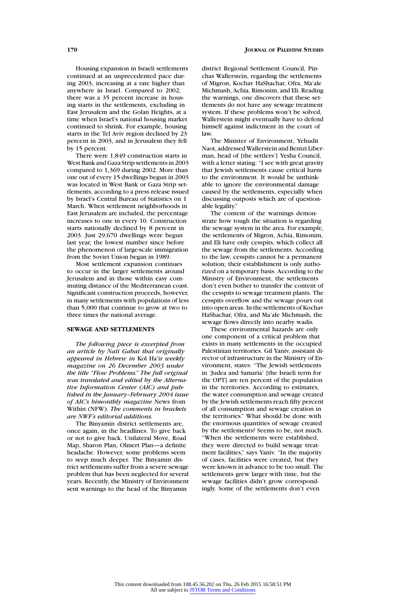Housing expansion in Israeli settlements continued at an unprecedented pace during 2003, increasing at a rate higher than anywhere in Israel. Compared to 2002, there was a 35 percent increase in housing starts in the settlements, excluding in East Jerusalem and the Golan Heights, at a time when Israel's national housing market continued to shrink. For example, housing starts in the Tel Aviv region declined by 23 percent in 2003, and in Jerusalem they fell by 15 percent.

There were 1,849 construction starts in West Bank and Gaza Strip settlements in 2003 compared to 1,369 during 2002. More than one out of every 15 dwellings begun in 2003 was located in West Bank or Gaza Strip settlements, according to a press release issued by Israel's Central Bureau of Statistics on 1 March. When settlement neighborhoods in East Jerusalem are included, the percentage increases to one in every 10. Construction starts nationally declined by 8 percent in 2003. Just 29,670 dwellings were begun last year, the lowest number since before the phenomenon of large-scale immigration from the Soviet Union began in 1989.

Most settlement expansion continues to occur in the larger settlements around Jerusalem and in those within easy commuting distance of the Mediterranean coast. Significant construction proceeds, however, in many settlements with populations of less than 5,000 that continue to grow at two to three times the national average.

#### **SEWAGE AND SETTLEMENTS**

*The following piece is excerpted from an article by Nati Gabai that originally appeared in Hebrew in* Kol Ha'ir *weekly magazine on 26 December 2003 under the title "Flow Problems." The full original was translated and edited by the Alternative Information Center (AIC) and published in the January–February 2004 issue of AIC's bimonthly magazine* News from Within (NFW). *The comments in brackets are NWF's editorial additions.*

The Binyamin district settlements are, once again, in the headlines. To give back or not to give back. Unilateral Move, Road Map, Sharon Plan, Olmert Plan—a definite headache. However, some problems seem to seep much deeper. The Binyamin district settlements suffer from a severe sewage problem that has been neglected for several years. Recently, the Ministry of Environment sent warnings to the head of the Binyamin

district Regional Settlement Council, Pinchas Wallerstein, regarding the settlements of Migron, Kochav HaShachar, Ofra, Ma'ale Michmash, Achia, Rimonim, and Eli. Reading the warnings, one discovers that these settlements do not have any sewage treatment system. If these problems won't be solved, Wallerstein might eventually have to defend himself against indictment in the court of law.

The Minister of Environment, Yehudit Naot, addressed Wallerstein and Bentzi Liberman, head of [the settlers'] Yesha Council, with a letter stating: "I see with great gravity that Jewish settlements cause critical harm to the environment. It would be unthinkable to ignore the environmental damage caused by the settlements, especially when discussing outposts which are of questionable legality."

The content of the warnings demonstrate how tough the situation is regarding the sewage system in the area. For example, the settlements of Migron, Achia, Rimonim, and Eli have only cesspits, which collect all the sewage from the settlements. According to the law, cesspits cannot be a permanent solution; their establishment is only authorized on a temporary basis. According to the Ministry of Environment, the settlements don't even bother to transfer the content of the cesspits to sewage treatment plants. The cesspits overflow and the sewage pours out into open areas. In the settlements of Kochav HaShachar, Ofra, and Ma'ale Michmash, the sewage flows directly into nearby wadis.

These environmental hazards are only one component of a critical problem that exists in many settlements in the occupied Palestinian territories. Gil Yaniv, assistant director of infrastructure in the Ministry of Environment, states: "The Jewish settlements in 'Judea and Samaria' [the Israeli term for the OPT] are ten percent of the population in the territories. According to estimates, the water consumption and sewage created by the Jewish settlements reach fifty percent of all consumption and sewage creation in the territories." What should be done with the enormous quantities of sewage created by the settlements? Seems to be, not much. "When the settlements were established, they were directed to build sewage treatment facilities," says Yaniv. "In the majority of cases, facilities were created, but they were known in advance to be too small. The settlements grew larger with time, but the sewage facilities didn't grow correspondingly. Some of the settlements don't even